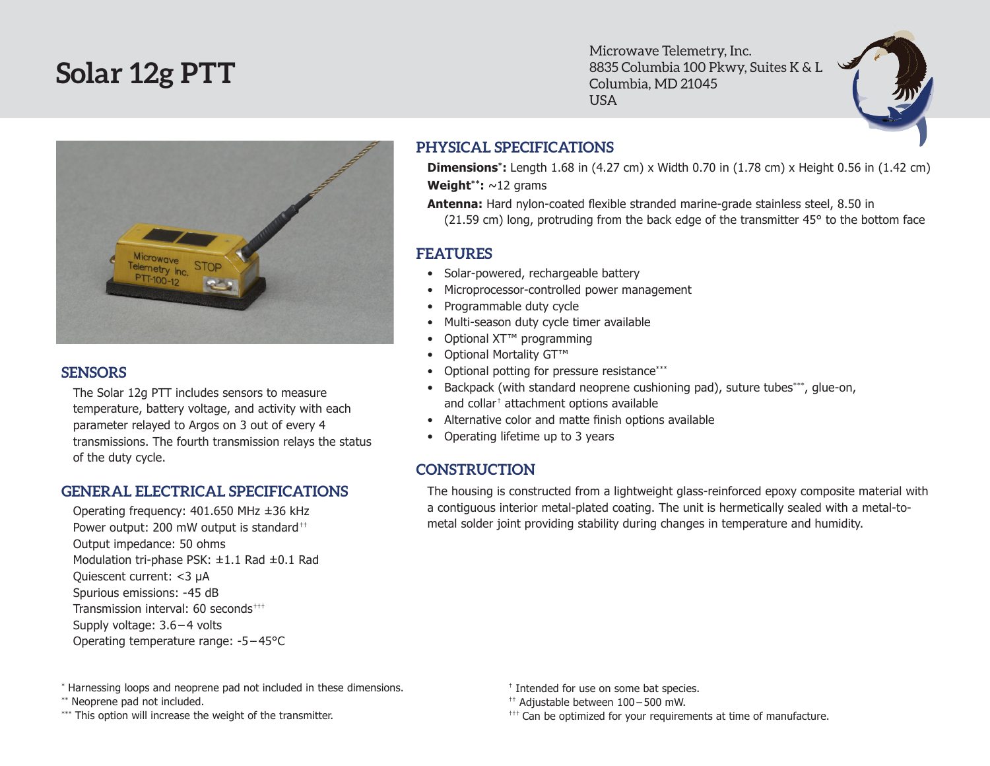# **Solar 12g PTT**

Microwave Telemetry, Inc. 8835 Columbia 100 Pkwy, Suites K & L Columbia, MD 21045 USA



#### **SENSORS**

The Solar 12g PTT includes sensors to measure temperature, battery voltage, and activity with each parameter relayed to Argos on 3 out of every 4 transmissions. The fourth transmission relays the status of the duty cycle.

### **GENERAL ELECTRICAL SPECIFICATIONS**

Operating frequency: 401.650 MHz ±36 kHz Power output: 200 mW output is standard<sup>++</sup> Output impedance: 50 ohms Modulation tri-phase PSK: ±1.1 Rad ±0.1 Rad Quiescent current: <3 µA Spurious emissions: -45 dB Transmission interval: 60 seconds††† Supply voltage: 3.6 – 4 volts Operating temperature range: -5 – 45°C

## **PHYSICAL SPECIFICATIONS**

**Dimensions\*:** Length 1.68 in (4.27 cm) x Width 0.70 in (1.78 cm) x Height 0.56 in (1.42 cm) **Weight\*\*:** ~12 grams

**Antenna:** Hard nylon-coated flexible stranded marine-grade stainless steel, 8.50 in (21.59 cm) long, protruding from the back edge of the transmitter 45° to the bottom face

## **FEATURES**

- Solar-powered, rechargeable battery
- Microprocessor-controlled power management
- • Programmable duty cycle
- Multi-season duty cycle timer available
- Optional XT<sup>™</sup> programming
- Optional Mortality GT™
- Optional potting for pressure resistance\*\*\*
- Backpack (with standard neoprene cushioning pad), suture tubes\*\*\*, glue-on, and collar† attachment options available
- Alternative color and matte finish options available
- Operating lifetime up to 3 years

## **CONSTRUCTION**

The housing is constructed from a lightweight glass-reinforced epoxy composite material with a contiguous interior metal-plated coating. The unit is hermetically sealed with a metal-tometal solder joint providing stability during changes in temperature and humidity.

\* Harnessing loops and neoprene pad not included in these dimensions.

\*\* Neoprene pad not included.

\*\*\* This option will increase the weight of the transmitter.

- † Intended for use on some bat species.
- †† Adjustable between 100 500 mW.
- $^{++}$  Can be optimized for your requirements at time of manufacture.